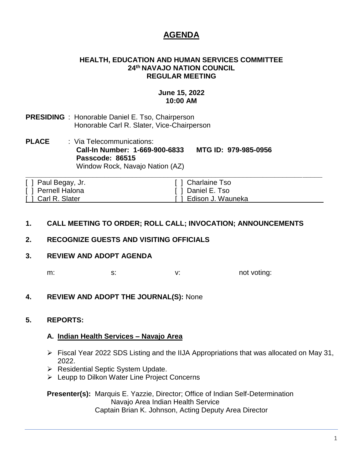# **AGENDA**

#### **HEALTH, EDUCATION AND HUMAN SERVICES COMMITTEE 24th NAVAJO NATION COUNCIL REGULAR MEETING**

# **June 15, 2022 10:00 AM**

- **PRESIDING** : Honorable Daniel E. Tso, Chairperson Honorable Carl R. Slater, Vice-Chairperson
- **PLACE** : Via Telecommunications: **Call-In Number: 1-669-900-6833 MTG ID: 979-985-0956 Passcode: 86515** Window Rock, Navajo Nation (AZ)

| [ ] Paul Begay, Jr. | [ ] Charlaine Tso     |
|---------------------|-----------------------|
| [ ] Pernell Halona  | [ ] Daniel E. Tso     |
| [ ] Carl R. Slater  | [ ] Edison J. Wauneka |

# **1. CALL MEETING TO ORDER; ROLL CALL; INVOCATION; ANNOUNCEMENTS**

#### **2. RECOGNIZE GUESTS AND VISITING OFFICIALS**

#### **3. REVIEW AND ADOPT AGENDA**

m: s: s: v: v: not voting:

**4. REVIEW AND ADOPT THE JOURNAL(S):** None

#### **5. REPORTS:**

#### **A. Indian Health Services – Navajo Area**

- ➢ Fiscal Year 2022 SDS Listing and the IIJA Appropriations that was allocated on May 31, 2022.
- ➢ Residential Septic System Update.
- ➢ Leupp to Dilkon Water Line Project Concerns

**Presenter(s):** Marquis E. Yazzie, Director; Office of Indian Self-Determination Navajo Area Indian Health Service Captain Brian K. Johnson, Acting Deputy Area Director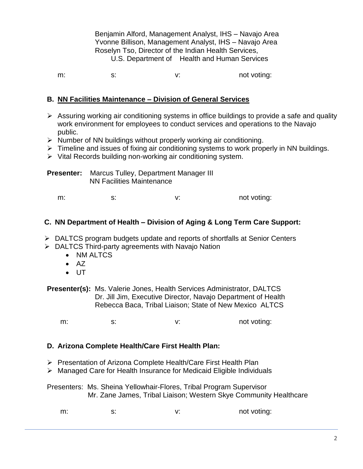Benjamin Alford, Management Analyst, IHS – Navajo Area Yvonne Billison, Management Analyst, IHS – Navajo Area Roselyn Tso, Director of the Indian Health Services, U.S. Department of Health and Human Services

m: s: s: v: v: not voting:

### **B. NN Facilities Maintenance – Division of General Services**

- ➢ Assuring working air conditioning systems in office buildings to provide a safe and quality work environment for employees to conduct services and operations to the Navajo public.
- ➢ Number of NN buildings without properly working air conditioning.
- ➢ Timeline and issues of fixing air conditioning systems to work properly in NN buildings.
- ➢ Vital Records building non-working air conditioning system.

| <b>Presenter:</b> Marcus Tulley, Department Manager III |  |  |
|---------------------------------------------------------|--|--|
| <b>NN Facilities Maintenance</b>                        |  |  |

m: s: s: v: v: not voting:

#### **C. NN Department of Health – Division of Aging & Long Term Care Support:**

➢ DALTCS program budgets update and reports of shortfalls at Senior Centers

- ➢ DALTCS Third-party agreements with Navajo Nation
	- NM ALTCS
	- AZ
	- UT

**Presenter(s):** Ms. Valerie Jones, Health Services Administrator, DALTCS Dr. Jill Jim, Executive Director, Navajo Department of Health Rebecca Baca, Tribal Liaison; State of New Mexico ALTCS

m: s: s: v: v: not voting:

#### **D. Arizona Complete Health/Care First Health Plan:**

- ➢ Presentation of Arizona Complete Health/Care First Health Plan
- ➢ Managed Care for Health Insurance for Medicaid Eligible Individuals

Presenters: Ms. Sheina Yellowhair-Flores, Tribal Program Supervisor Mr. Zane James, Tribal Liaison; Western Skye Community Healthcare

| m: |  |  | not voting: |
|----|--|--|-------------|
|----|--|--|-------------|